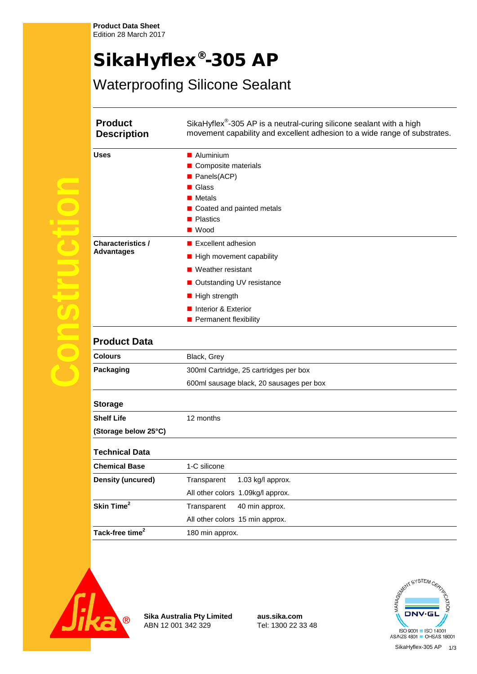# SikaHyflex®-305 AP

## Waterproofing Silicone Sealant

| <b>Product</b><br><b>Description</b>          | SikaHyflex <sup>®</sup> -305 AP is a neutral-curing silicone sealant with a high<br>movement capability and excellent adhesion to a wide range of substrates. |
|-----------------------------------------------|---------------------------------------------------------------------------------------------------------------------------------------------------------------|
| <b>Uses</b>                                   | ■ Aluminium                                                                                                                                                   |
|                                               | Composite materials                                                                                                                                           |
|                                               | Panels(ACP)                                                                                                                                                   |
|                                               | Glass                                                                                                                                                         |
|                                               | <b>Metals</b>                                                                                                                                                 |
|                                               | Coated and painted metals                                                                                                                                     |
|                                               | <b>Plastics</b>                                                                                                                                               |
|                                               | $\blacksquare$ Wood                                                                                                                                           |
| <b>Characteristics /</b><br><b>Advantages</b> | Excellent adhesion                                                                                                                                            |
|                                               | High movement capability                                                                                                                                      |
|                                               | $\blacksquare$ Weather resistant                                                                                                                              |
|                                               | ■ Outstanding UV resistance                                                                                                                                   |
|                                               | ■ High strength                                                                                                                                               |
|                                               | Interior & Exterior                                                                                                                                           |
|                                               | Permanent flexibility                                                                                                                                         |
| <b>Product Data</b>                           |                                                                                                                                                               |
| <b>Colours</b>                                | Black, Grey                                                                                                                                                   |
| Packaging                                     | 300ml Cartridge, 25 cartridges per box                                                                                                                        |
|                                               | 600ml sausage black, 20 sausages per box                                                                                                                      |
| <b>Storage</b>                                |                                                                                                                                                               |
| <b>Shelf Life</b>                             | 12 months                                                                                                                                                     |
| (Storage below 25°C)                          |                                                                                                                                                               |
| <b>Technical Data</b>                         |                                                                                                                                                               |
| <b>Chemical Base</b>                          | 1-C silicone                                                                                                                                                  |
| <b>Density (uncured)</b>                      | Transparent<br>1.03 kg/l approx.                                                                                                                              |
|                                               | All other colors 1.09kg/l approx.                                                                                                                             |
| Skin Time <sup>2</sup>                        | 40 min approx.<br>Transparent                                                                                                                                 |
|                                               | All other colors 15 min approx.                                                                                                                               |
| Tack-free time <sup>2</sup>                   | 180 min approx.                                                                                                                                               |
|                                               |                                                                                                                                                               |



**Construction**

**Tarix** 

 $\overline{\phantom{a}}$ 

 $\bigcirc$ 

 $\bigcirc$ 

**Sika Australia Pty Limited aus.sika.com** ABN 12 001 342 329

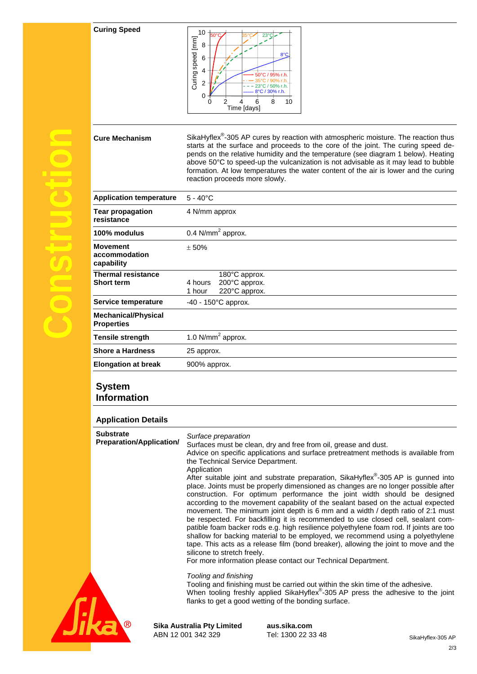#### **Curing Speed**



|                                                 | Curing speed [mm]<br>8<br>8°C<br>6<br>4<br>/ 95% r.l<br>2<br>23°C / 50% r.h.<br>8°C / 30% r.h.<br>0<br>8<br>10<br>0<br>6<br>Time [days]                                                                                                                                                                                                                                                                                                                                                                                                                                                                                                                                                                                                                                                                                                                                                                                                                                                                                                                                                                                                         |
|-------------------------------------------------|-------------------------------------------------------------------------------------------------------------------------------------------------------------------------------------------------------------------------------------------------------------------------------------------------------------------------------------------------------------------------------------------------------------------------------------------------------------------------------------------------------------------------------------------------------------------------------------------------------------------------------------------------------------------------------------------------------------------------------------------------------------------------------------------------------------------------------------------------------------------------------------------------------------------------------------------------------------------------------------------------------------------------------------------------------------------------------------------------------------------------------------------------|
| <b>Cure Mechanism</b>                           | SikaHyflex <sup>®</sup> -305 AP cures by reaction with atmospheric moisture. The reaction thus<br>starts at the surface and proceeds to the core of the joint. The curing speed de-<br>pends on the relative humidity and the temperature (see diagram 1 below). Heating<br>above 50°C to speed-up the vulcanization is not advisable as it may lead to bubble<br>formation. At low temperatures the water content of the air is lower and the curing<br>reaction proceeds more slowly.                                                                                                                                                                                                                                                                                                                                                                                                                                                                                                                                                                                                                                                         |
| <b>Application temperature</b>                  | $5 - 40^{\circ}$ C                                                                                                                                                                                                                                                                                                                                                                                                                                                                                                                                                                                                                                                                                                                                                                                                                                                                                                                                                                                                                                                                                                                              |
| <b>Tear propagation</b><br>resistance           | 4 N/mm approx                                                                                                                                                                                                                                                                                                                                                                                                                                                                                                                                                                                                                                                                                                                                                                                                                                                                                                                                                                                                                                                                                                                                   |
| 100% modulus                                    | 0.4 $N/mm2$ approx.                                                                                                                                                                                                                                                                                                                                                                                                                                                                                                                                                                                                                                                                                                                                                                                                                                                                                                                                                                                                                                                                                                                             |
| <b>Movement</b><br>accommodation<br>capability  | ± 50%                                                                                                                                                                                                                                                                                                                                                                                                                                                                                                                                                                                                                                                                                                                                                                                                                                                                                                                                                                                                                                                                                                                                           |
| <b>Thermal resistance</b><br><b>Short term</b>  | 180°C approx.<br>4 hours<br>200°C approx.<br>220°C approx.<br>1 hour                                                                                                                                                                                                                                                                                                                                                                                                                                                                                                                                                                                                                                                                                                                                                                                                                                                                                                                                                                                                                                                                            |
| Service temperature                             | $-40 - 150^{\circ}$ C approx.                                                                                                                                                                                                                                                                                                                                                                                                                                                                                                                                                                                                                                                                                                                                                                                                                                                                                                                                                                                                                                                                                                                   |
| <b>Mechanical/Physical</b><br><b>Properties</b> |                                                                                                                                                                                                                                                                                                                                                                                                                                                                                                                                                                                                                                                                                                                                                                                                                                                                                                                                                                                                                                                                                                                                                 |
| <b>Tensile strength</b>                         | 1.0 $N/mm2$ approx.                                                                                                                                                                                                                                                                                                                                                                                                                                                                                                                                                                                                                                                                                                                                                                                                                                                                                                                                                                                                                                                                                                                             |
| <b>Shore a Hardness</b>                         | 25 approx.                                                                                                                                                                                                                                                                                                                                                                                                                                                                                                                                                                                                                                                                                                                                                                                                                                                                                                                                                                                                                                                                                                                                      |
| <b>Elongation at break</b>                      | 900% approx.                                                                                                                                                                                                                                                                                                                                                                                                                                                                                                                                                                                                                                                                                                                                                                                                                                                                                                                                                                                                                                                                                                                                    |
| System<br>ınformation                           |                                                                                                                                                                                                                                                                                                                                                                                                                                                                                                                                                                                                                                                                                                                                                                                                                                                                                                                                                                                                                                                                                                                                                 |
| <b>Application Details</b>                      |                                                                                                                                                                                                                                                                                                                                                                                                                                                                                                                                                                                                                                                                                                                                                                                                                                                                                                                                                                                                                                                                                                                                                 |
| Substrate<br><b>Preparation/Application/</b>    | Surface preparation<br>Surfaces must be clean, dry and free from oil, grease and dust.<br>Advice on specific applications and surface pretreatment methods is available from<br>the Technical Service Department.<br>Application<br>After suitable joint and substrate preparation, SikaHyflex®-305 AP is gunned into<br>place. Joints must be properly dimensioned as changes are no longer possible after<br>construction. For optimum performance the joint width should be designed<br>according to the movement capability of the sealant based on the actual expected<br>movement. The minimum joint depth is 6 mm and a width / depth ratio of 2:1 must<br>be respected. For backfilling it is recommended to use closed cell, sealant com-<br>patible foam backer rods e.g. high resilience polyethylene foam rod. If joints are too<br>shallow for backing material to be employed, we recommend using a polyethylene<br>tape. This acts as a release film (bond breaker), allowing the joint to move and the<br>silicone to stretch freely.<br>For more information please contact our Technical Department.<br>Tooling and finishing |
|                                                 | Tooling and finishing must be carried out within the skin time of the adhesive.<br>When tooling freshly applied SikaHyflex <sup>®</sup> -305 AP press the adhesive to the joint<br>flanks to get a good wetting of the bonding surface.                                                                                                                                                                                                                                                                                                                                                                                                                                                                                                                                                                                                                                                                                                                                                                                                                                                                                                         |

### **System Information**

**Construction**

 $\overline{\mathcal{C}}$ 

 $\overline{\mathbf{C}}$ 

 $\sqrt{2}$ 

 $\bigcirc$ 

#### **Application Details**

| <b>Substrate</b><br><b>Preparation/Application/</b> | Surface preparation<br>Surfaces must be clean, dry and free from oil, grease and dust.<br>Advice on specific applications and surface pretreatment methods is available from<br>the Technical Service Department.<br>Application<br>After suitable joint and substrate preparation, SikaHyflex®-305 AP is gunned into<br>place. Joints must be properly dimensioned as changes are no longer possible after<br>construction. For optimum performance the joint width should be designed<br>according to the movement capability of the sealant based on the actual expected<br>movement. The minimum joint depth is 6 mm and a width / depth ratio of 2:1 must<br>be respected. For backfilling it is recommended to use closed cell, sealant com-<br>patible foam backer rods e.g. high resilience polyethylene foam rod. If joints are too<br>shallow for backing material to be employed, we recommend using a polyethylene<br>tape. This acts as a release film (bond breaker), allowing the joint to move and the<br>silicone to stretch freely.<br>For more information please contact our Technical Department.<br>Tooling and finishing<br>Tooling and finishing must be carried out within the skin time of the adhesive.<br>When tooling freshly applied SikaHyflex <sup>®</sup> -305 AP press the adhesive to the joint<br>flanks to get a good wetting of the bonding surface. |
|-----------------------------------------------------|--------------------------------------------------------------------------------------------------------------------------------------------------------------------------------------------------------------------------------------------------------------------------------------------------------------------------------------------------------------------------------------------------------------------------------------------------------------------------------------------------------------------------------------------------------------------------------------------------------------------------------------------------------------------------------------------------------------------------------------------------------------------------------------------------------------------------------------------------------------------------------------------------------------------------------------------------------------------------------------------------------------------------------------------------------------------------------------------------------------------------------------------------------------------------------------------------------------------------------------------------------------------------------------------------------------------------------------------------------------------------------------------|
|                                                     | Sika Australia Pty Limited<br>aus.sika.com                                                                                                                                                                                                                                                                                                                                                                                                                                                                                                                                                                                                                                                                                                                                                                                                                                                                                                                                                                                                                                                                                                                                                                                                                                                                                                                                                 |